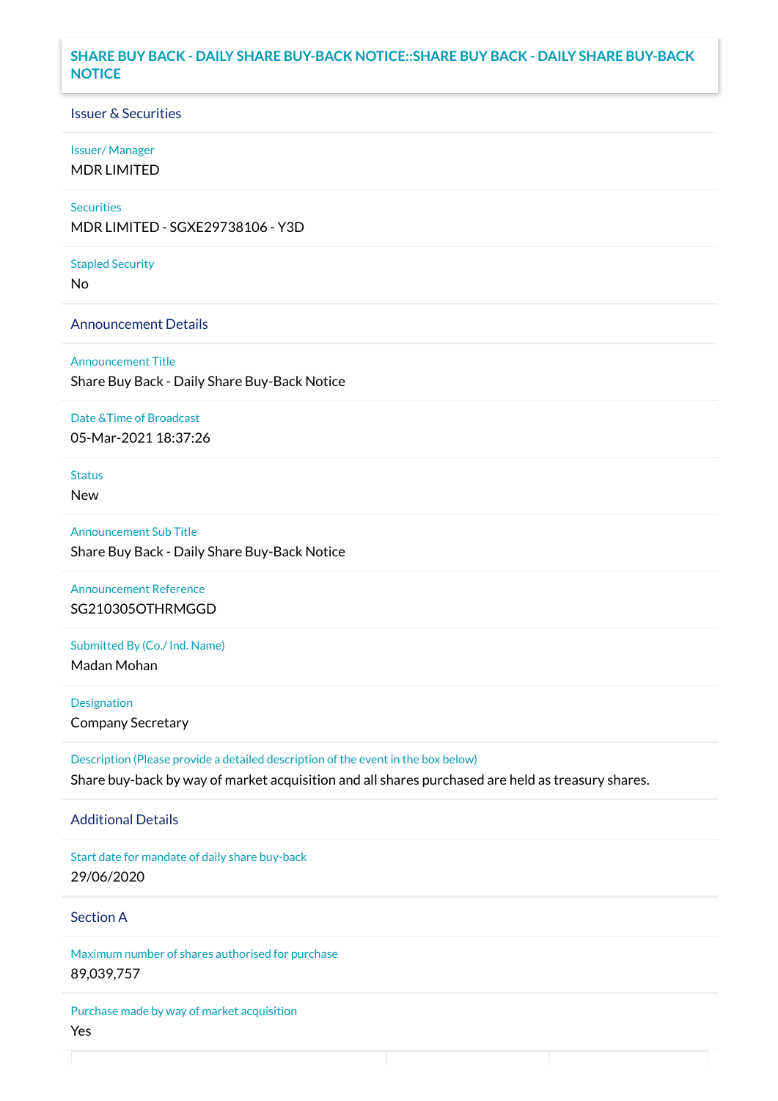### **SHARE BUY BACK - DAILY SHARE BUY-BACK NOTICE::SHARE BUY BACK - DAILY SHARE BUY-BACK NOTICE**

#### Issuer & Securities

#### Issuer/ Manager

MDR LIMITED

### **Securities**

MDR LIMITED - SGXE29738106 - Y3D

#### Stapled Security

No

#### Announcement Details

Announcement Title Share Buy Back - Daily Share Buy-Back Notice

#### Date &Time of Broadcast

05-Mar-2021 18:37:26

## Status

New

Announcement Sub Title Share Buy Back - Daily Share Buy-Back Notice

Announcement Reference SG210305OTHRMGGD

# Submitted By (Co./ Ind. Name)

Madan Mohan

**Designation** Company Secretary

Description (Please provide a detailed description of the event in the box below) Share buy-back by way of market acquisition and all shares purchased are held as treasury shares.

#### Additional Details

Start date for mandate of daily share buy-back 29/06/2020

## Section A

Maximum number of shares authorised for purchase 89,039,757

Purchase made by way of market acquisition Yes